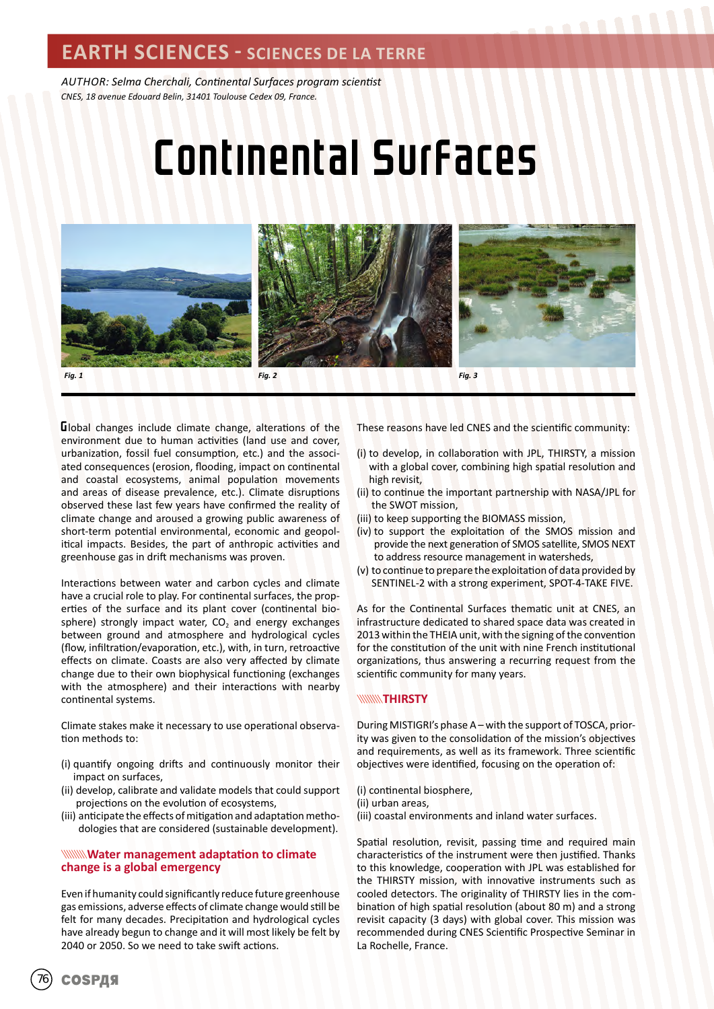### **EARTH SCIENCES - SCIENCES DE LA TERRE**

*AUTHOR: Selma Cherchali, Continental Surfaces program scientist CNES, 18 avenue Edouard Belin, 31401 Toulouse Cedex 09, France.*

# Continental Surfaces







Global changes include climate change, alterations of the environment due to human activities (land use and cover, urbanization, fossil fuel consumption, etc.) and the associated consequences (erosion, flooding, impact on continental and coastal ecosystems, animal population movements and areas of disease prevalence, etc.). Climate disruptions observed these last few years have confirmed the reality of climate change and aroused a growing public awareness of short-term potential environmental, economic and geopolitical impacts. Besides, the part of anthropic activities and greenhouse gas in drift mechanisms was proven.

Interactions between water and carbon cycles and climate have a crucial role to play. For continental surfaces, the properties of the surface and its plant cover (continental biosphere) strongly impact water,  $CO<sub>2</sub>$  and energy exchanges between ground and atmosphere and hydrological cycles (flow, infiltration/evaporation, etc.), with, in turn, retroactive effects on climate. Coasts are also very affected by climate change due to their own biophysical functioning (exchanges with the atmosphere) and their interactions with nearby continental systems.

Climate stakes make it necessary to use operational observation methods to:

- (i) quantify ongoing drifts and continuously monitor their impact on surfaces,
- (ii) develop, calibrate and validate models that could support projections on the evolution of ecosystems,
- (iii) anticipate the effects of mitigation and adaptation methodologies that are considered (sustainable development).

#### **Water management adaptation to climate change is a global emergency**

Even if humanity could significantly reduce future greenhouse gas emissions, adverse effects of climate change would still be felt for many decades. Precipitation and hydrological cycles have already begun to change and it will most likely be felt by 2040 or 2050. So we need to take swift actions.

These reasons have led CNES and the scientific community:

- (i) to develop, in collaboration with JPL, THIRSTY, a mission with a global cover, combining high spatial resolution and high revisit,
- (ii) to continue the important partnership with NASA/JPL for the SWOT mission,
- (iii) to keep supporting the BIOMASS mission,
- (iv) to support the exploitation of the SMOS mission and provide the next generation of SMOS satellite, SMOS NEXT to address resource management in watersheds,
- (v) to continue to prepare the exploitation of data provided by SENTINEL-2 with a strong experiment, SPOT-4-TAKE FIVE.

As for the Continental Surfaces thematic unit at CNES, an infrastructure dedicated to shared space data was created in 2013 within the THEIA unit, with the signing of the convention for the constitution of the unit with nine French institutional organizations, thus answering a recurring request from the scientific community for many years.

#### **WWW.THIRSTY**

During MISTIGRI's phase A – with the support of TOSCA, priority was given to the consolidation of the mission's objectives and requirements, as well as its framework. Three scientific objectives were identified, focusing on the operation of:

(i) continental biosphere, (ii) urban areas, (iii) coastal environments and inland water surfaces.

Spatial resolution, revisit, passing time and required main characteristics of the instrument were then justified. Thanks to this knowledge, cooperation with JPL was established for the THIRSTY mission, with innovative instruments such as cooled detectors. The originality of THIRSTY lies in the combination of high spatial resolution (about 80 m) and a strong revisit capacity (3 days) with global cover. This mission was recommended during CNES Scientific Prospective Seminar in La Rochelle, France.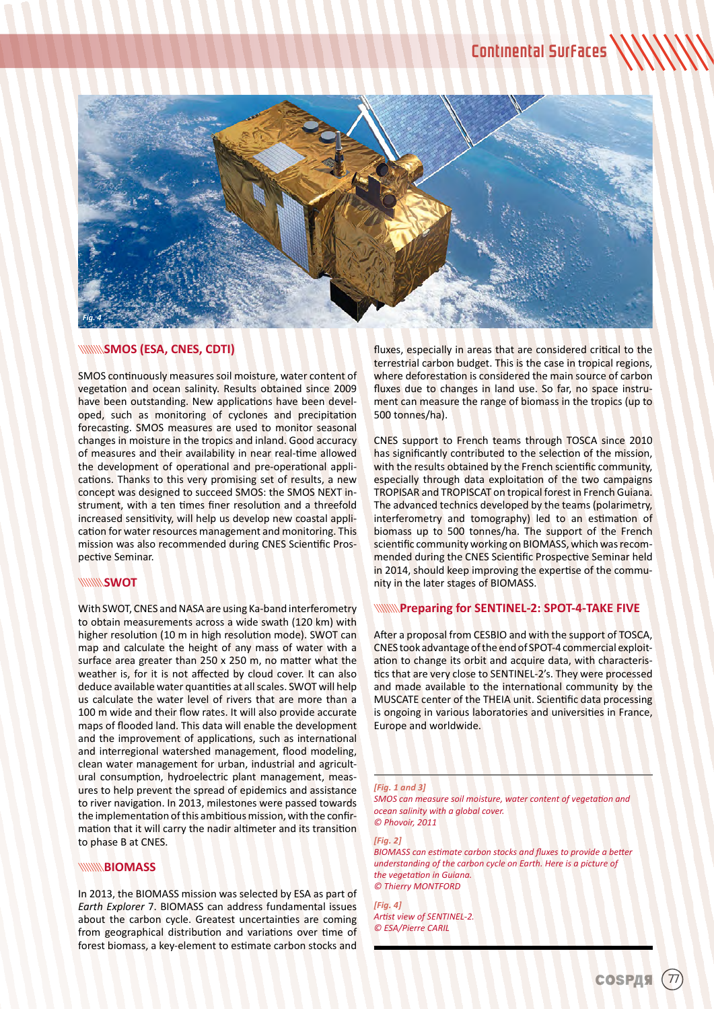

#### **WINNISMOS (ESA, CNES, CDTI)**

SMOS continuously measures soil moisture, water content of vegetation and ocean salinity. Results obtained since 2009 have been outstanding. New applications have been developed, such as monitoring of cyclones and precipitation forecasting. SMOS measures are used to monitor seasonal changes in moisture in the tropics and inland. Good accuracy of measures and their availability in near real-time allowed the development of operational and pre-operational applications. Thanks to this very promising set of results, a new concept was designed to succeed SMOS: the SMOS NEXT instrument, with a ten times finer resolution and a threefold increased sensitivity, will help us develop new coastal application for water resources management and monitoring. This mission was also recommended during CNES Scientific Prospective Seminar.

#### **WWW.SWOT**

With SWOT, CNES and NASA are using Ka-band interferometry to obtain measurements across a wide swath (120 km) with higher resolution (10 m in high resolution mode). SWOT can map and calculate the height of any mass of water with a surface area greater than 250 x 250 m, no matter what the weather is, for it is not affected by cloud cover. It can also deduce available water quantities at all scales. SWOT will help us calculate the water level of rivers that are more than a 100 m wide and their flow rates. It will also provide accurate maps of flooded land. This data will enable the development and the improvement of applications, such as international and interregional watershed management, flood modeling, clean water management for urban, industrial and agricultural consumption, hydroelectric plant management, measures to help prevent the spread of epidemics and assistance to river navigation. In 2013, milestones were passed towards the implementation of this ambitious mission, with the confirmation that it will carry the nadir altimeter and its transition to phase B at CNES.

#### **WWW.BIOMASS**

In 2013, the BIOMASS mission was selected by ESA as part of *Earth Explorer* 7. BIOMASS can address fundamental issues about the carbon cycle. Greatest uncertainties are coming from geographical distribution and variations over time of forest biomass, a key-element to estimate carbon stocks and fluxes, especially in areas that are considered critical to the terrestrial carbon budget. This is the case in tropical regions, where deforestation is considered the main source of carbon fluxes due to changes in land use. So far, no space instrument can measure the range of biomass in the tropics (up to 500 tonnes/ha).

CNES support to French teams through TOSCA since 2010 has significantly contributed to the selection of the mission, with the results obtained by the French scientific community, especially through data exploitation of the two campaigns TROPISAR and TROPISCAT on tropical forest in French Guiana. The advanced technics developed by the teams (polarimetry, interferometry and tomography) led to an estimation of biomass up to 500 tonnes/ha. The support of the French scientific community working on BIOMASS, which was recommended during the CNES Scientific Prospective Seminar held in 2014, should keep improving the expertise of the community in the later stages of BIOMASS.

#### **WINNING Preparing for SENTINEL-2: SPOT-4-TAKE FIVE**

After a proposal from CESBIO and with the support of TOSCA, CNES took advantage of the end of SPOT-4 commercial exploitation to change its orbit and acquire data, with characteristics that are very close to SENTINEL-2's. They were processed and made available to the international community by the MUSCATE center of the THEIA unit. Scientific data processing is ongoing in various laboratories and universities in France, Europe and worldwide.

#### *[Fig. 1 and 3] SMOS can measure soil moisture, water content of vegetation and ocean salinity with a global cover. © Phovoir, 2011*

*[Fig. 2]* 

*BIOMASS can estimate carbon stocks and fluxes to provide a better understanding of the carbon cycle on Earth. Here is a picture of the vegetation in Guiana. © Thierry MONTFORD*

*[Fig. 4] Artist view of SENTINEL-2. © ESA/Pierre CARIL*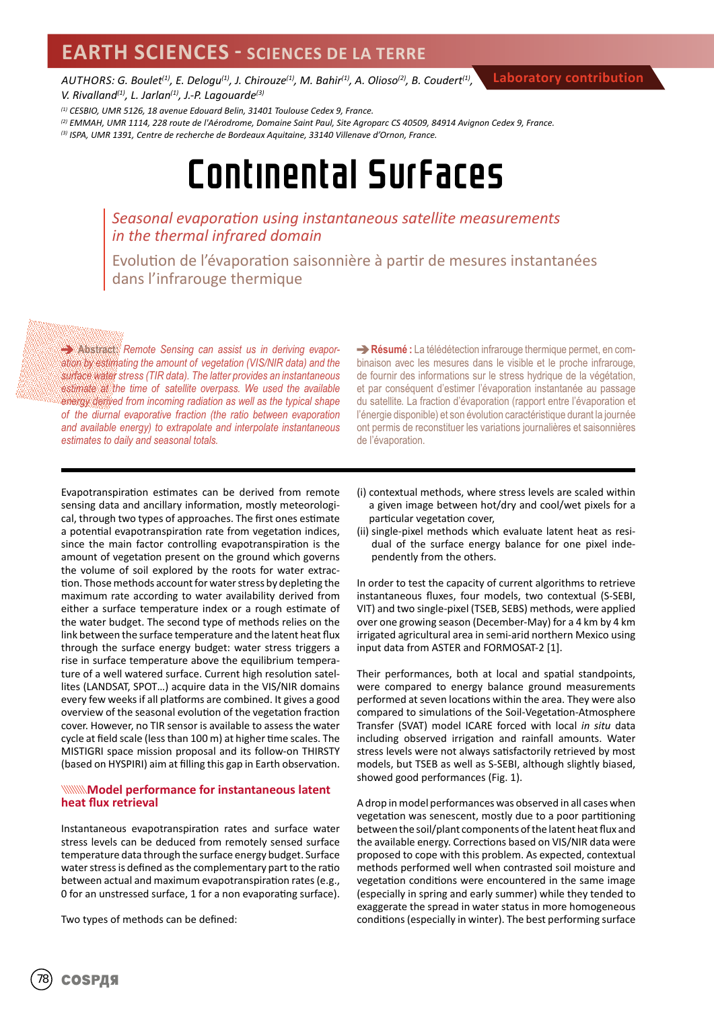## **EARTH SCIENCES - SCIENCES DE LA TERRE**

*AUTHORS: G. Boulet(1), E. Delogu(1), J. Chirouze(1), M. Bahir(1), A. Olioso(2), B. Coudert(1), V. Rivalland(1), L. Jarlan(1), J.-P. Lagouarde(3)*

*(1) CESBIO, UMR 5126, 18 avenue Edouard Belin, 31401 Toulouse Cedex 9, France.*

*(2) EMMAH, UMR 1114, 228 route de l'Aérodrome, Domaine Saint Paul, Site Agroparc CS 40509, 84914 Avignon Cedex 9, France. (3) ISPA, UMR 1391, Centre de recherche de Bordeaux Aquitaine, 33140 Villenave d'Ornon, France.*

## Continental Surfaces

### *Seasonal evaporation using instantaneous satellite measurements in the thermal infrared domain*

Evolution de l'évaporation saisonnière à partir de mesures instantanées dans l'infrarouge thermique

**Abstract:** *Remote Sensing can assist us in deriving evaporation by estimating the amount of vegetation (VIS/NIR data) and the surface water stress (TIR data). The latter provides an instantaneous estimate at the time of satellite overpass. We used the available energy derived from incoming radiation as well as the typical shape of the diurnal evaporative fraction (the ratio between evaporation and available energy) to extrapolate and interpolate instantaneous estimates to daily and seasonal totals.*

**Résumé :** La télédétection infrarouge thermique permet, en combinaison avec les mesures dans le visible et le proche infrarouge, de fournir des informations sur le stress hydrique de la végétation, et par conséquent d'estimer l'évaporation instantanée au passage du satellite. La fraction d'évaporation (rapport entre l'évaporation et l'énergie disponible) et son évolution caractéristique durant la journée ont permis de reconstituer les variations journalières et saisonnières de l'évaporation.

**Laboratory contribution**

Evapotranspiration estimates can be derived from remote sensing data and ancillary information, mostly meteorological, through two types of approaches. The first ones estimate a potential evapotranspiration rate from vegetation indices, since the main factor controlling evapotranspiration is the amount of vegetation present on the ground which governs the volume of soil explored by the roots for water extraction. Those methods account for water stress by depleting the maximum rate according to water availability derived from either a surface temperature index or a rough estimate of the water budget. The second type of methods relies on the link between the surface temperature and the latent heat flux through the surface energy budget: water stress triggers a rise in surface temperature above the equilibrium temperature of a well watered surface. Current high resolution satellites (LANDSAT, SPOT…) acquire data in the VIS/NIR domains every few weeks if all platforms are combined. It gives a good overview of the seasonal evolution of the vegetation fraction cover. However, no TIR sensor is available to assess the water cycle at field scale (less than 100 m) at higher time scales. The MISTIGRI space mission proposal and its follow-on THIRSTY (based on HYSPIRI) aim at filling this gap in Earth observation.

#### **WANNING MODEL performance for instantaneous latent heat flux retrieval**

Instantaneous evapotranspiration rates and surface water stress levels can be deduced from remotely sensed surface temperature data through the surface energy budget. Surface water stress is defined as the complementary part to the ratio between actual and maximum evapotranspiration rates (e.g., 0 for an unstressed surface, 1 for a non evaporating surface).

Two types of methods can be defined:

- (i) contextual methods, where stress levels are scaled within a given image between hot/dry and cool/wet pixels for a particular vegetation cover,
- (ii) single-pixel methods which evaluate latent heat as residual of the surface energy balance for one pixel independently from the others.

In order to test the capacity of current algorithms to retrieve instantaneous fluxes, four models, two contextual (S-SEBI, VIT) and two single-pixel (TSEB, SEBS) methods, were applied over one growing season (December-May) for a 4 km by 4 km irrigated agricultural area in semi-arid northern Mexico using input data from ASTER and FORMOSAT-2 [1].

Their performances, both at local and spatial standpoints, were compared to energy balance ground measurements performed at seven locations within the area. They were also compared to simulations of the Soil-Vegetation-Atmosphere Transfer (SVAT) model ICARE forced with local *in situ* data including observed irrigation and rainfall amounts. Water stress levels were not always satisfactorily retrieved by most models, but TSEB as well as S-SEBI, although slightly biased, showed good performances (Fig. 1).

A drop in model performances was observed in all cases when vegetation was senescent, mostly due to a poor partitioning between the soil/plant components of the latent heat flux and the available energy. Corrections based on VIS/NIR data were proposed to cope with this problem. As expected, contextual methods performed well when contrasted soil moisture and vegetation conditions were encountered in the same image (especially in spring and early summer) while they tended to exaggerate the spread in water status in more homogeneous conditions (especially in winter). The best performing surface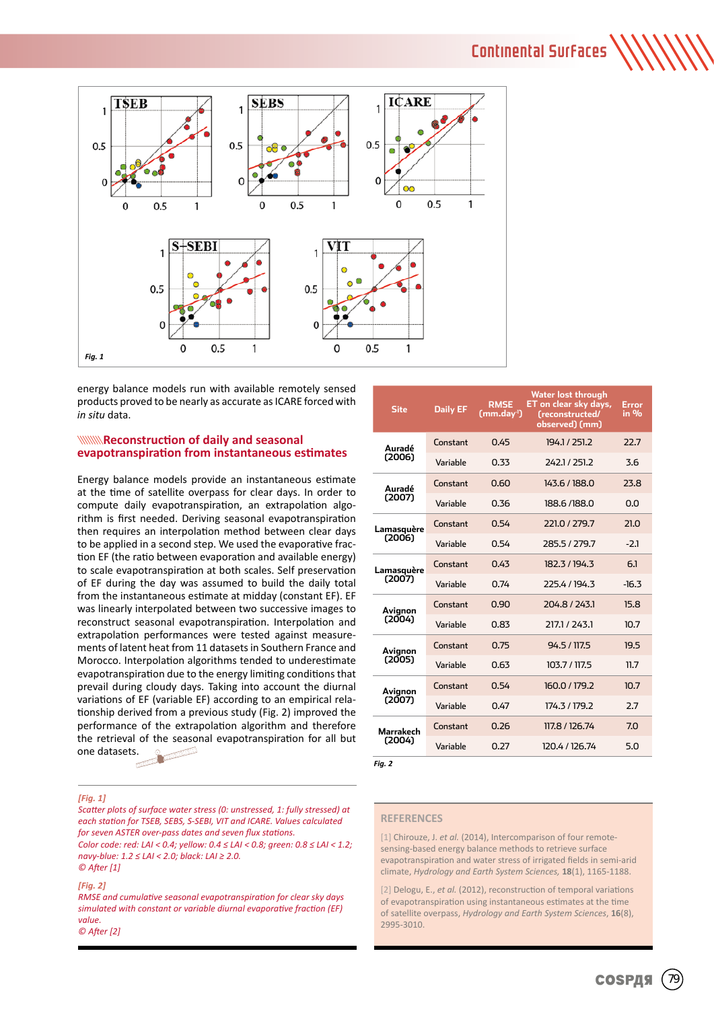## Continental Surfaces



energy balance models run with available remotely sensed products proved to be nearly as accurate as ICARE forced with *in situ* data.

#### **WAREFORTHERED SEASONAL MEDIATION CONSUMING STATE evapotranspiration from instantaneous estimates**

Energy balance models provide an instantaneous estimate at the time of satellite overpass for clear days. In order to compute daily evapotranspiration, an extrapolation algorithm is first needed. Deriving seasonal evapotranspiration then requires an interpolation method between clear days to be applied in a second step. We used the evaporative fraction EF (the ratio between evaporation and available energy) to scale evapotranspiration at both scales. Self preservation of EF during the day was assumed to build the daily total from the instantaneous estimate at midday (constant EF). EF was linearly interpolated between two successive images to reconstruct seasonal evapotranspiration. Interpolation and extrapolation performances were tested against measurements of latent heat from 11 datasets in Southern France and Morocco. Interpolation algorithms tended to underestimate evapotranspiration due to the energy limiting conditions that prevail during cloudy days. Taking into account the diurnal variations of EF (variable EF) according to an empirical relationship derived from a previous study (Fig. 2) improved the performance of the extrapolation algorithm and therefore the retrieval of the seasonal evapotranspiration for all but one datasets.

#### *[Fig. 1]*

*Scatter plots of surface water stress (0: unstressed, 1: fully stressed) at each station for TSEB, SEBS, S-SEBI, VIT and ICARE. Values calculated for seven ASTER over-pass dates and seven flux stations. Color code: red: LAI < 0.4; yellow: 0.4 ≤ LAI < 0.8; green: 0.8 ≤ LAI < 1.2; navy-blue: 1.2 ≤ LAI < 2.0; black: LAI ≥ 2.0. © After [1]*

#### *[Fig. 2]*

*RMSE and cumulative seasonal evapotranspiration for clear sky days simulated with constant or variable diurnal evaporative fraction (EF) value. © After [2]*

| Site                 | <b>Daily EF</b> | <b>RMSE</b><br>(mm.day <sup>1</sup> ) | Water lost through<br>ET on clear sky days,<br>(reconstructed/<br>observed) (mm) | Error<br>in 9/6 |
|----------------------|-----------------|---------------------------------------|----------------------------------------------------------------------------------|-----------------|
| Auradé<br>(2006)     | Constant        | 0.45                                  | 194.1/251.2                                                                      | 22.7            |
|                      | Variable        | 0.33                                  | 242.1/251.2                                                                      | 3.6             |
| Auradé<br>(2007)     | Constant        | 0.60                                  | 143.6 / 188.0                                                                    | <b>23.8</b>     |
|                      | Variable        | 0.36                                  | 188.6/188.0                                                                      | n.n             |
| Lamasquère<br>(2006) | Constant        | 0.54                                  | 221.0 / 279.7                                                                    | 21.O            |
|                      | Variable        | 0.54                                  | 285.5/279.7                                                                      | $-2.1$          |
| Lamasquère<br>(2007) | Constant        | 0.43                                  | 182.3/194.3                                                                      | 6.1             |
|                      | Variable        | 0.74                                  | 2254/1943                                                                        | $-16.3$         |
| Avignon<br>(2004)    | Constant        | 0.90                                  | 204.8/243.1                                                                      | 15.8            |
|                      | Variable        | 0.83                                  | 217.1 / 243.1                                                                    | 10.7            |
| Avignon<br>(2005)    | Constant        | 0.75                                  | 94.5/117.5                                                                       | 19.5            |
|                      | Variable        | 0.63                                  | 103.7 / 117.5                                                                    | 11.7            |
| Avignon<br>(2007)    | Constant        | 0.54                                  | 160.0 / 179.2                                                                    | 10.7            |
|                      | Variable        | 0.47                                  | 174.3 / 179.2                                                                    | 2.7             |
| Marrakech<br>(2004)  | Constant        | 0.26                                  | 117.8 / 126.74                                                                   | 7.0             |
|                      | Variable        | 0.27                                  | 120.4 / 126.74                                                                   | 5.0             |

*Fig. 2*

#### **REFERENCES**

[1] Chirouze, J. *et al.* (2014), Intercomparison of four remotesensing-based energy balance methods to retrieve surface evapotranspiration and water stress of irrigated fields in semi-arid climate, *Hydrology and Earth System Sciences,* **18**(1), 1165-1188.

[2] Delogu, E., *et al.* (2012), reconstruction of temporal variations of evapotranspiration using instantaneous estimates at the time of satellite overpass, *Hydrology and Earth System Sciences*, **16**(8), 2995-3010.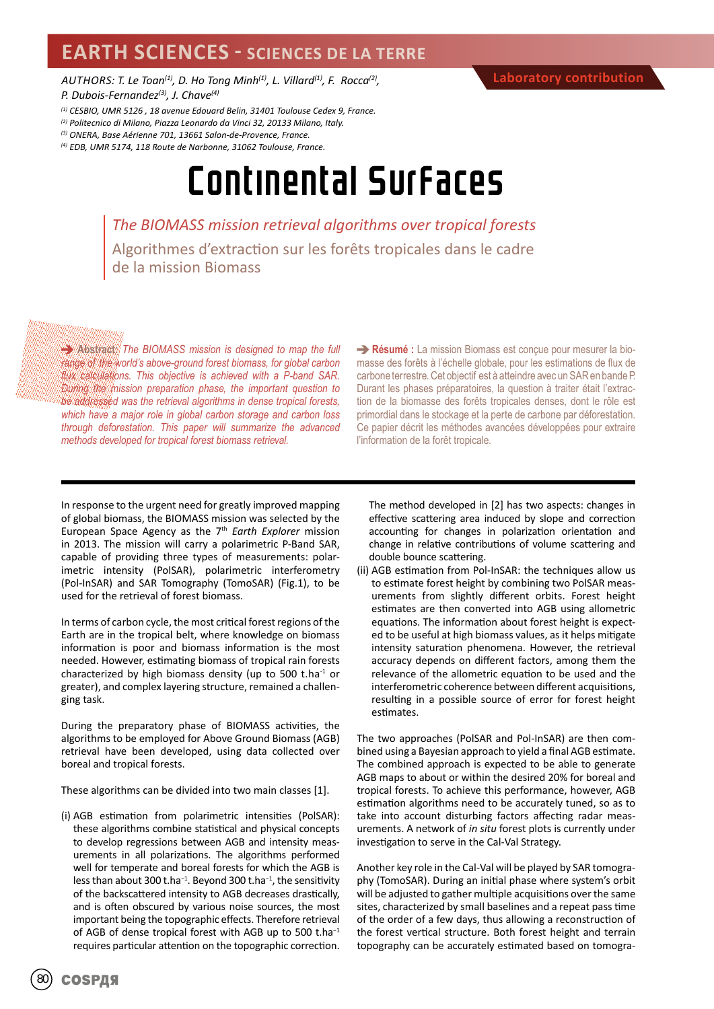## **EARTH SCIENCES - SCIENCES DE LA TERRE**

*AUTHORS: T. Le Toan(1), D. Ho Tong Minh(1), L. Villard(1), F. Rocca(2), P. Dubois-Fernandez(3), J. Chave(4)*

- *(1) CESBIO, UMR 5126 , 18 avenue Edouard Belin, 31401 Toulouse Cedex 9, France.*
- *(2) Politecnico di Milano, Piazza Leonardo da Vinci 32, 20133 Milano, Italy.*
- *(3) ONERA, Base Aérienne 701, 13661 Salon-de-Provence, France.*
- *(4) EDB, UMR 5174, 118 Route de Narbonne, 31062 Toulouse, France.*

## Continental Surfaces

*The BIOMASS mission retrieval algorithms over tropical forests* Algorithmes d'extraction sur les forêts tropicales dans le cadre de la mission Biomass

**Abstract:** *The BIOMASS mission is designed to map the full range of the world's above-ground forest biomass, for global carbon flux calculations. This objective is achieved with a P-band SAR. During the mission preparation phase, the important question to be addressed was the retrieval algorithms in dense tropical forests, which have a major role in global carbon storage and carbon loss through deforestation. This paper will summarize the advanced methods developed for tropical forest biomass retrieval.* 

**Résumé :** La mission Biomass est conçue pour mesurer la biomasse des forêts à l'échelle globale, pour les estimations de flux de carbone terrestre. Cet objectif est à atteindre avec un SAR en bande P. Durant les phases préparatoires, la question à traiter était l'extraction de la biomasse des forêts tropicales denses, dont le rôle est primordial dans le stockage et la perte de carbone par déforestation. Ce papier décrit les méthodes avancées développées pour extraire l'information de la forêt tropicale.

In response to the urgent need for greatly improved mapping of global biomass, the BIOMASS mission was selected by the European Space Agency as the 7th *Earth Explorer* mission in 2013. The mission will carry a polarimetric P-Band SAR, capable of providing three types of measurements: polarimetric intensity (PolSAR), polarimetric interferometry (Pol-InSAR) and SAR Tomography (TomoSAR) (Fig.1), to be used for the retrieval of forest biomass.

In terms of carbon cycle, the most critical forest regions of the Earth are in the tropical belt, where knowledge on biomass information is poor and biomass information is the most needed. However, estimating biomass of tropical rain forests characterized by high biomass density (up to 500 t.ha $^{-1}$  or greater), and complex layering structure, remained a challenging task.

During the preparatory phase of BIOMASS activities, the algorithms to be employed for Above Ground Biomass (AGB) retrieval have been developed, using data collected over boreal and tropical forests.

These algorithms can be divided into two main classes [1].

(i) AGB estimation from polarimetric intensities (PolSAR): these algorithms combine statistical and physical concepts to develop regressions between AGB and intensity measurements in all polarizations. The algorithms performed well for temperate and boreal forests for which the AGB is less than about 300 t.ha−1. Beyond 300 t.ha−1, the sensitivity of the backscattered intensity to AGB decreases drastically, and is often obscured by various noise sources, the most important being the topographic effects. Therefore retrieval of AGB of dense tropical forest with AGB up to 500 t.ha−1 requires particular attention on the topographic correction.

The method developed in [2] has two aspects: changes in effective scattering area induced by slope and correction accounting for changes in polarization orientation and change in relative contributions of volume scattering and double bounce scattering.

(ii) AGB estimation from Pol-InSAR: the techniques allow us to estimate forest height by combining two PolSAR measurements from slightly different orbits. Forest height estimates are then converted into AGB using allometric equations. The information about forest height is expected to be useful at high biomass values, as it helps mitigate intensity saturation phenomena. However, the retrieval accuracy depends on different factors, among them the relevance of the allometric equation to be used and the interferometric coherence between different acquisitions, resulting in a possible source of error for forest height estimates.

The two approaches (PolSAR and Pol-InSAR) are then combined using a Bayesian approach to yield a final AGB estimate. The combined approach is expected to be able to generate AGB maps to about or within the desired 20% for boreal and tropical forests. To achieve this performance, however, AGB estimation algorithms need to be accurately tuned, so as to take into account disturbing factors affecting radar measurements. A network of *in situ* forest plots is currently under investigation to serve in the Cal-Val Strategy.

Another key role in the Cal-Val will be played by SAR tomography (TomoSAR). During an initial phase where system's orbit will be adjusted to gather multiple acquisitions over the same sites, characterized by small baselines and a repeat pass time of the order of a few days, thus allowing a reconstruction of the forest vertical structure. Both forest height and terrain topography can be accurately estimated based on tomogra-